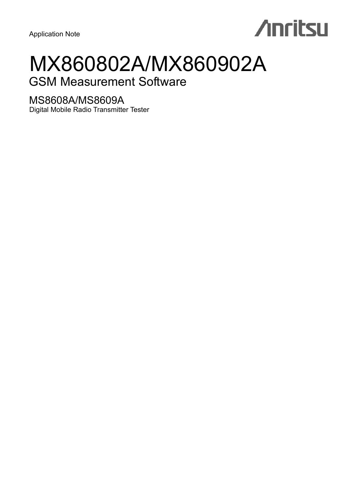# **Anritsu**

# MX860802A/MX860902A

# GSM Measurement Software

# MS8608A/MS8609A

Digital Mobile Radio Transmitter Tester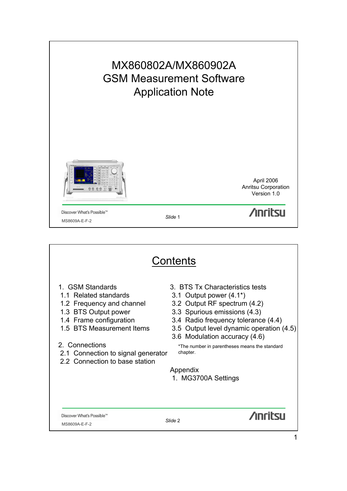

|                                                                                                                                                                                                                                                  | Contents                                                                                                                                                                                                                                                                                                                                          |
|--------------------------------------------------------------------------------------------------------------------------------------------------------------------------------------------------------------------------------------------------|---------------------------------------------------------------------------------------------------------------------------------------------------------------------------------------------------------------------------------------------------------------------------------------------------------------------------------------------------|
| 1. GSM Standards<br>1.1 Related standards<br>1.2 Frequency and channel<br>1.3 BTS Output power<br>1.4 Frame configuration<br>1.5 BTS Measurement Items<br>2. Connections<br>2.1 Connection to signal generator<br>2.2 Connection to base station | 3. BTS Tx Characteristics tests<br>3.1 Output power $(4.1^*)$<br>3.2 Output RF spectrum (4.2)<br>3.3 Spurious emissions (4.3)<br>3.4 Radio frequency tolerance (4.4)<br>3.5 Output level dynamic operation (4.5)<br>3.6 Modulation accuracy (4.6)<br>*The number in parentheses means the standard<br>chapter.<br>Appendix<br>1. MG3700A Settings |
| Discover What's Possible™<br>MS8609A-E-F-2                                                                                                                                                                                                       | <b>Anritsu</b><br>Slide 2                                                                                                                                                                                                                                                                                                                         |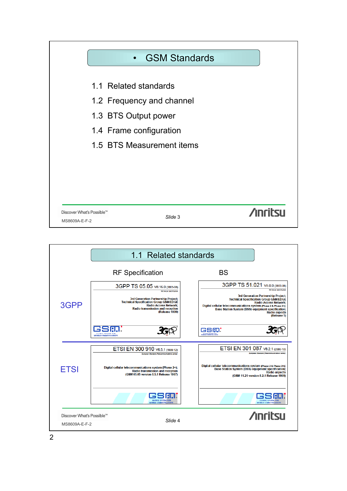

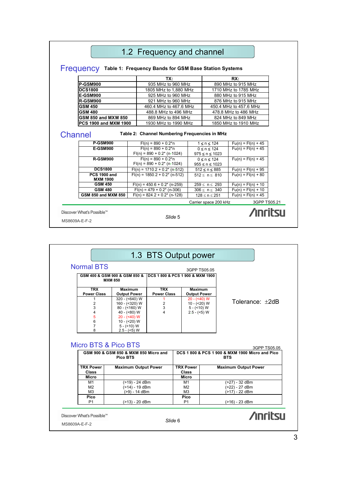|                                                                 | 1.2 Frequency and channel                                               |                                           |                        |                      |
|-----------------------------------------------------------------|-------------------------------------------------------------------------|-------------------------------------------|------------------------|----------------------|
| Frequency Table 1: Frequency Bands for GSM Base Station Systems |                                                                         |                                           |                        |                      |
|                                                                 | TX:                                                                     |                                           | RX:                    |                      |
| <b>P-GSM900</b>                                                 | 935 MHz to 960 MHz                                                      |                                           | 890 MHz to 915 MHz     |                      |
| <b>DCS1800</b>                                                  | 1805 MHz to 1,880 MHz                                                   |                                           | 1710 MHz to 1785 MHz   |                      |
| <b>E-GSM900</b>                                                 | 925 MHz to 960 MHz                                                      |                                           | 880 MHz to 915 MHz     |                      |
| <b>R-GSM900</b>                                                 | 921 MHz to 960 MHz                                                      |                                           | 876 MHz to 915 MHz     |                      |
| <b>GSM 450</b>                                                  | 460.4 MHz to 467.6 MHz                                                  |                                           | 450.4 MHz to 457.6 MHz |                      |
| <b>GSM 480</b>                                                  | 488.8 MHz to 496 MHz                                                    |                                           | 478.8 MHz to 486 MHz   |                      |
| <b>GSM 850 and MXM 850</b>                                      | 869 MHz to 894 MHz                                                      |                                           | 824 MHz to 849 MHz     |                      |
| PCS 1900 and MXM 1900                                           | 1930 MHz to 1990 MHz                                                    | 1850 MHz to 1910 MHz                      |                        |                      |
|                                                                 |                                                                         |                                           |                        |                      |
| Channel<br><b>P-GSM900</b>                                      | Table 2: Channel Numbering Frequencies in MHz<br>$Fl(n) = 890 + 0.2* n$ | $1 \le n \le 124$                         |                        | $Fu(n) = Fl(n) + 45$ |
| <b>E-GSM900</b>                                                 | $Fl(n) = 890 + 0.2* n$<br>$Fl(n) = 890 + 0.2^{*} (n-1024)$              | $0 \le n \le 124$<br>$975 \le n \le 1023$ |                        | $Fu(n) = Fl(n) + 45$ |
| <b>R-GSM900</b>                                                 | $Fl(n) = 890 + 0.2* n$<br>$Fl(n) = 890 + 0.2^{*} (n-1024)$              | $0 \le n \le 124$<br>$955 \le n \le 1023$ |                        | $Fu(n) = Fl(n) + 45$ |
| <b>DCS1800</b>                                                  | $Fl(n) = 1710.2 + 0.2^{*} (n-512)$                                      | $512 \le n \le 885$                       |                        | $Fu(n) = Fl(n) + 95$ |
| <b>PCS 1900 and</b><br><b>MXM 1900</b>                          | $Fl(n) = 1850.2 + 0.2^{*} (n-512)$                                      | 512 < n < 810                             |                        | $Fu(n) = Fl(n) + 80$ |
| <b>GSM 450</b>                                                  | $FI(n) = 450.6 + 0.2^{*} (n-259)$                                       | $259 \le n \le 293$                       |                        | $Fu(n) = Fl(n) + 10$ |
| <b>GSM 480</b>                                                  | $Fl(n) = 479 + 0.2^{*} (n-306)$                                         | $306 \le n \le 340$                       |                        | $Fu(n) = Fl(n) + 10$ |
| <b>GSM 850 and MXM 850</b>                                      | $Fl(n) = 824.2 + 0.2^{*} (n-128)$                                       | $128 \le n \le 251$                       |                        | $Fu(n) = Fl(n) + 45$ |
|                                                                 |                                                                         | Carrier space 200 kHz                     |                        | 3GPP TS05.21         |

|                           |                                                          |                    |                                                 | 3GPP TS05.05 |                                                                               |
|---------------------------|----------------------------------------------------------|--------------------|-------------------------------------------------|--------------|-------------------------------------------------------------------------------|
|                           | GSM 400 & GSM 900 & GSM 850 &<br><b>MXM 850</b>          |                    | <b>DCS 1 800 &amp; PCS 1 900 &amp; MXM 1900</b> |              |                                                                               |
| <b>TRX</b>                | <b>Maximum</b>                                           | <b>TRX</b>         | <b>Maximum</b>                                  |              |                                                                               |
| <b>Power Class</b>        | <b>Output Power</b>                                      | <b>Power Class</b> | <b>Output Power</b>                             |              |                                                                               |
| 1                         | $320 - (-640) W$                                         | 1                  | $20 - (40) W$                                   |              | Tolerance: +2dB                                                               |
| $\overline{2}$            | 160 - (<320) W                                           | 2                  | $10 - (20)$ W                                   |              |                                                                               |
| 3                         | $80 - (<160) W$                                          | 3<br>4             | $5 - (210) W$                                   |              |                                                                               |
| 4<br>5                    | 40 - $(< 80) W$<br>$20 - (40) W$                         |                    | $2.5 - (-5)$ W                                  |              |                                                                               |
| 6                         | $10 - (20) W$                                            |                    |                                                 |              |                                                                               |
|                           |                                                          |                    |                                                 |              |                                                                               |
|                           |                                                          |                    |                                                 |              |                                                                               |
| $\overline{7}$<br>8       | $5 - (+10) W$<br>$2.5 - (-5)$ W<br>Micro BTS & Pico BTS  |                    |                                                 |              |                                                                               |
|                           | GSM 900 & GSM 850 & MXM 850 Micro and<br><b>Pico BTS</b> |                    |                                                 |              | 3GPP TS05.05<br>DCS 1 800 & PCS 1 900 & MXM 1900 Micro and Pico<br><b>BTS</b> |
| <b>TRX Power</b><br>Class | <b>Maximum Output Power</b>                              |                    | <b>TRX Power</b><br><b>Class</b>                |              | <b>Maximum Output Power</b>                                                   |
| Micro                     |                                                          |                    | <b>Micro</b>                                    |              |                                                                               |
| M1                        | (>19) - 24 dBm                                           |                    | M1                                              |              | (>27) - 32 dBm                                                                |
| M <sub>2</sub>            | (>14) - 19 dBm                                           |                    | M <sub>2</sub>                                  |              | (>22) - 27 dBm                                                                |
| M <sub>3</sub>            | (>9) - 14 dBm                                            |                    | M <sub>3</sub>                                  |              | (>17) - 22 dBm                                                                |
| Pico                      |                                                          |                    | Pico                                            |              |                                                                               |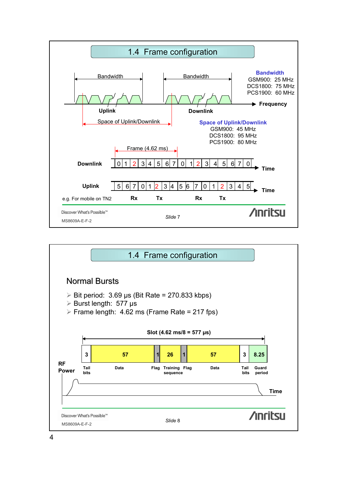

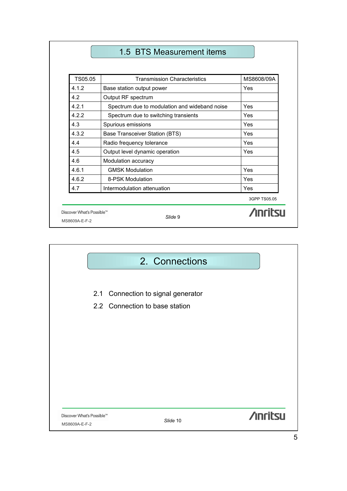# 1.5 BTS Measurement items

| TS05.05                   | <b>Transmission Characteristics</b>           | MS8608/09A      |
|---------------------------|-----------------------------------------------|-----------------|
| 4.1.2                     | Base station output power                     | Yes             |
| 4.2                       | Output RF spectrum                            |                 |
| 4.2.1                     | Spectrum due to modulation and wideband noise | Yes             |
| 4.2.2                     | Spectrum due to switching transients          | Yes             |
| 4.3                       | Spurious emissions                            | Yes             |
| 4.3.2                     | Base Transceiver Station (BTS)                | <b>Yes</b>      |
| 4.4                       | Radio frequency tolerance                     | Yes             |
| 4.5                       | Output level dynamic operation                | Yes             |
| 4.6                       | Modulation accuracy                           |                 |
| 4.6.1                     | <b>GMSK Modulation</b>                        | Yes             |
| 4.6.2                     | 8-PSK Modulation                              | Yes             |
| 4.7                       | Intermodulation attenuation                   | Yes             |
|                           |                                               | 3GPP TS05.05    |
| Discover What's Possible™ |                                               | <b>Anritall</b> |
| MS8609A-E-F-2             | Slide 9                                       |                 |

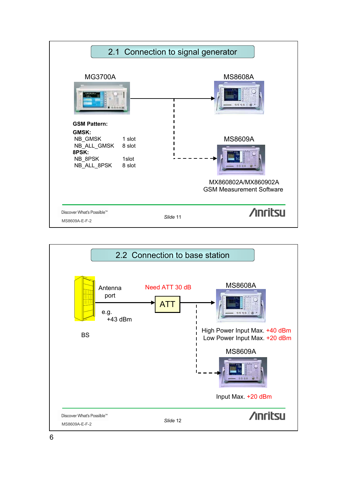

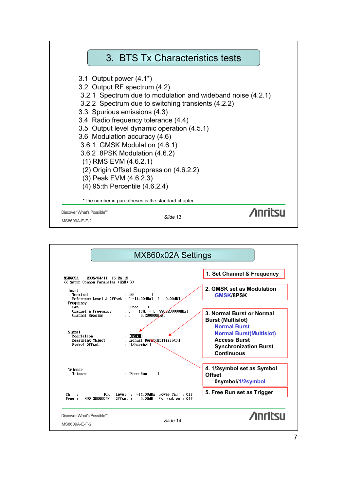

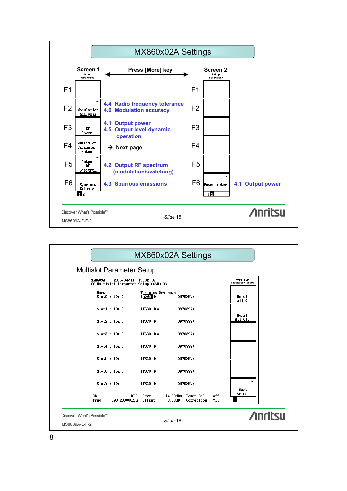

|                                            |                                                              |                                     | MX860x02A Settings                                        |                                     |
|--------------------------------------------|--------------------------------------------------------------|-------------------------------------|-----------------------------------------------------------|-------------------------------------|
| <b>Multislot Parameter Setup</b>           |                                                              |                                     |                                                           |                                     |
| <b>MS8609A</b>                             | 2005/04/11 15:32:16<br><< Multislot Parameter Setup (GSM) >> |                                     |                                                           | <b>Nultislot</b><br>Parameter Setup |
| Burst                                      | Slot0 : (On)                                                 | Training Sequence<br>$[TSCO]$ $I(=$ | 0970897)                                                  | Burst<br>All On                     |
|                                            | Slot1 : [On 1]                                               | $ITSCO$ $I(=$                       | 0970897)                                                  |                                     |
|                                            | Slot2 : [On ]                                                | $[TSCO]$ $I(=$                      | 0970897)                                                  | <b>Burst</b><br>All Off             |
|                                            | Slot3: [On]                                                  | $[TSCO]$ $I(=$                      | 0970897)                                                  |                                     |
|                                            | Slot4 : [On ]                                                | $[TSCO]$ $I(=$                      | 0970897)                                                  |                                     |
|                                            | Slot5 : [On]                                                 | $[TSCO]$ $I(=$                      | 0970897)                                                  |                                     |
|                                            | Slot6: [On]                                                  | $ITSCO$ $I(=$                       | 0970897)                                                  |                                     |
|                                            | Slot7 : [On ]                                                | $ITSCO$ $I(=$                       | 0970897)                                                  | $\rightarrow$                       |
| Ch<br>Free:                                | 1CH<br>890.200000MHz Offset :                                | Level :                             | $-14.00dBm$ Power Cal : Off<br>0.00dB<br>Correction : Off | Back<br>Screen                      |
| Discover What's Possible™<br>MS8609A-E-F-2 |                                                              |                                     | Slide 16                                                  | <b>Anritsu</b>                      |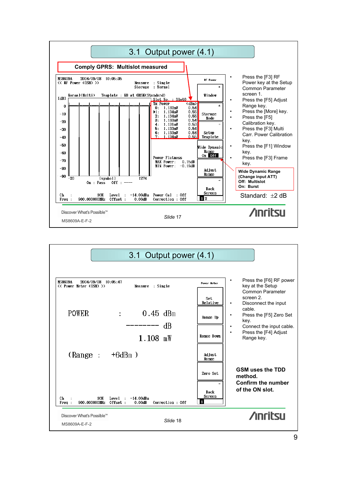

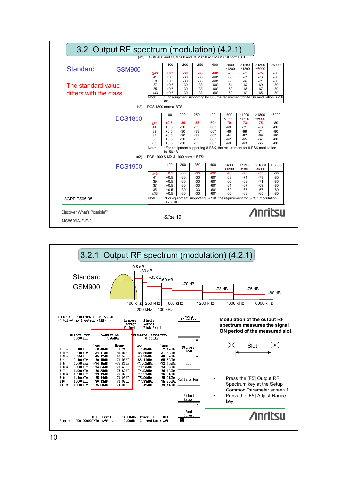|                                  |                                      | 100                             | 200                              | 250                            | 400                                  | $\geq 600$                                                                   | $\geq 1200$                      | $\geq 1800$           | $\geq 6000$                                                                                      |
|----------------------------------|--------------------------------------|---------------------------------|----------------------------------|--------------------------------|--------------------------------------|------------------------------------------------------------------------------|----------------------------------|-----------------------|--------------------------------------------------------------------------------------------------|
| <b>Standard</b><br><b>GSM900</b> |                                      |                                 |                                  |                                |                                      | < 1200                                                                       | < 1800                           | <6000                 |                                                                                                  |
|                                  | $\geq 43$                            | $+0.5$                          | -30                              | $-33$                          | $-60*$                               | -70                                                                          | $-73$                            | $-75$                 | -80                                                                                              |
|                                  | 41                                   | $+0.5$                          | -30                              | $-33$                          | $-60*$                               | -68                                                                          | $-71$                            | -73                   | -80                                                                                              |
|                                  | 39                                   | $+0.5$                          | $-30$                            | $-33$                          | $-60*$                               | -66                                                                          | $-69$                            | $-71$                 | -80                                                                                              |
| The standard value               | 37<br>35                             | $+0.5$<br>$+0.5$                | -30<br>-30                       | $-33$<br>$-33$                 | $-60*$<br>$-60*$                     | $-64$<br>$-62$                                                               | $-67$<br>$-65$                   | $-69$<br>-67          | $-80$<br>-80                                                                                     |
| differs with the class.          | < 33                                 | $+0.5$                          | -30                              | $-33$                          | $-60*$                               | -60                                                                          | $-63$                            | $-65$                 | -80                                                                                              |
|                                  | Note:                                | dB.                             |                                  |                                |                                      | *For equipment supporting 8-PSK, the requirement for 8-PSK modulation is -56 |                                  |                       |                                                                                                  |
| (b2)                             |                                      | DCS 1800 normal BTS:            |                                  |                                |                                      |                                                                              |                                  |                       |                                                                                                  |
| <b>DCS1800</b>                   |                                      | 100                             | 200                              | 250                            | 400                                  | $\geq 600$<br>< 1200                                                         | $\geq 1200$<br>< 1800            | $\geq 1800$<br>< 6000 | $\geq 6000$                                                                                      |
|                                  | $>43$                                | $+0.5$                          | $-30$                            | $-33$                          | $-60*$                               | -70                                                                          | $-73$                            | $-75$                 | $-80$                                                                                            |
|                                  | 41                                   | $+0.5$                          | $-30$                            | $-33$                          | $-60*$                               | -68                                                                          | $-71$                            | $-73$                 | $-80$                                                                                            |
|                                  | 39                                   | $+0.5$                          | $-30$                            | $-33$                          | $-60*$                               | -66                                                                          | $-69$                            | $-71$                 | $-80$                                                                                            |
|                                  | 37                                   | $+0.5$                          | $-30$                            | $-33$                          | $-60*$                               | $-64$                                                                        | $-67$                            | $-69$                 | $-80$                                                                                            |
|                                  | 35                                   | $+0.5$                          | -30                              | $-33$                          | $-60*$                               | $-62$                                                                        | $-65$                            | $-67$                 | $-80$                                                                                            |
|                                  | <33                                  | $+0.5$                          | $-30$                            | $-33$                          | -60*                                 | -60                                                                          | $-63$                            | $-65$                 | $-80$                                                                                            |
|                                  | Note:                                | is -56 dB.                      |                                  |                                |                                      | *For equipment supporting 8-PSK, the requirement for 8-PSK modulation        |                                  |                       |                                                                                                  |
| (c2)                             |                                      | PCS 1900 & MXM 1900 normal BTS: |                                  |                                |                                      |                                                                              |                                  |                       |                                                                                                  |
| <b>PCS1900</b>                   |                                      | 100                             | 200                              | 250                            | 400                                  | $\geq 600$<br>< 1200                                                         | $\geq 1200$<br>< 1800            | $\geq 1800$<br>< 6000 | $\geq 6000$                                                                                      |
|                                  | $\geq 43$                            | $+0.5$                          | $-30$                            | $-33$                          | $-60*$                               | $-70$                                                                        | $-73$                            | $-75$                 | $-80$                                                                                            |
|                                  | 41                                   | $+0.5$                          | $-30$                            | -33                            | $-60*$                               | $-68$                                                                        |                                  | $-73$                 | -80                                                                                              |
|                                  |                                      | $+0.5$                          |                                  |                                |                                      | -66                                                                          | $-69$                            | $-71$                 | $-80$                                                                                            |
|                                  |                                      |                                 |                                  |                                |                                      |                                                                              |                                  |                       | $-80$                                                                                            |
|                                  |                                      |                                 |                                  |                                |                                      |                                                                              |                                  |                       | $-80$<br>$-80$                                                                                   |
|                                  |                                      |                                 |                                  |                                |                                      |                                                                              |                                  |                       |                                                                                                  |
|                                  |                                      | is -56 dB.                      |                                  |                                |                                      |                                                                              |                                  |                       |                                                                                                  |
| 3GPP TS05.05                     | 39<br>37<br>35<br>$\leq 33$<br>Note: | $+0.5$<br>$+0.5$<br>$+0.5$      | $-30$<br>$-30$<br>$-30$<br>$-30$ | $-33$<br>-33<br>$-33$<br>$-33$ | $-60*$<br>$-60*$<br>$-60*$<br>$-60*$ | $-64$<br>$-62$<br>$-60$                                                      | $-71$<br>$-67$<br>$-65$<br>$-63$ |                       | $-69$<br>$-67$<br>$-65$<br>*For equipment supporting 8-PSK, the requirement for 8-PSK modulation |

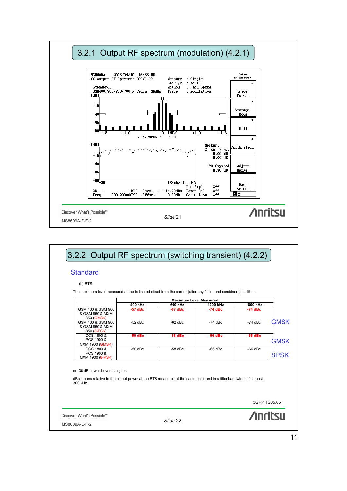

| $(b)$ BTS:<br>The maximum level measured at the indicated offset from the carrier (after any filters and combiners) is either:                                     |           |                               |           |           |              |
|--------------------------------------------------------------------------------------------------------------------------------------------------------------------|-----------|-------------------------------|-----------|-----------|--------------|
|                                                                                                                                                                    |           | <b>Maximum Level Measured</b> |           |           |              |
|                                                                                                                                                                    | 400 kHz   | 600 kHz                       | 1200 kHz  | 1800 kHz  |              |
| GSM 400 & GSM 900<br>& GSM 850 & MXM<br>850 (GMSK)                                                                                                                 | $-57$ dBc | $-67$ dBc                     | $-74$ dBc | $-74$ dBc |              |
| GSM 400 & GSM 900<br>& GSM 850 & MXM<br>850 (8-PSK)                                                                                                                | $-52$ dBc | $-62$ dBc                     | $-74$ dBc | $-74$ dBc | <b>GMSK</b>  |
| DCS 1800 &<br>PCS 1900 &<br><b>MXM 1900 (GMSK)</b>                                                                                                                 | $-50$ dBc | $-58$ dBc                     | $-66$ dBc | $-66$ dBc | <b>GMSK</b>  |
| DCS 1800 &<br>PCS 1900 &<br>MXM 1900 (8-PSK)                                                                                                                       | $-50$ dBc | $-58$ dBc                     | $-66$ dBc | $-66$ dBc | 8PSK         |
| or -36 dBm, whichever is higher.<br>dBc means relative to the output power at the BTS measured at the same point and in a filter bandwidth of at least<br>300 kHz. |           |                               |           |           |              |
|                                                                                                                                                                    |           |                               |           |           | 3GPP TS05.05 |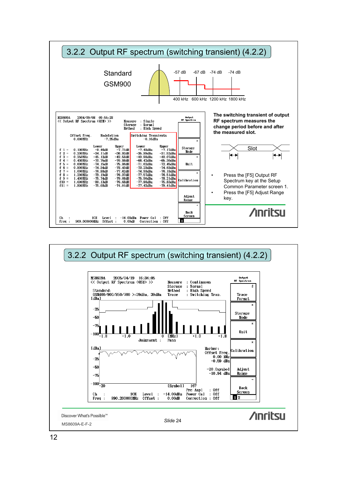

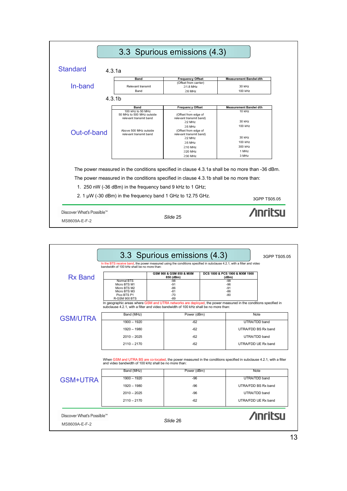|                           |                                                                                        | 3.3 Spurious emissions (4.3)                    |                                                                                                |
|---------------------------|----------------------------------------------------------------------------------------|-------------------------------------------------|------------------------------------------------------------------------------------------------|
| <b>Standard</b>           | 4.3.1a                                                                                 |                                                 |                                                                                                |
|                           | <b>Band</b>                                                                            | <b>Frequency Offset</b>                         | <b>Measurement Bandwidth</b>                                                                   |
| In-band                   | Relevant transmit                                                                      | (Offset from carrier)<br>$\geq$ 1.8 MHz         | 30 kHz                                                                                         |
|                           | Band                                                                                   | $>6$ MHz                                        | 100 kHz                                                                                        |
|                           | 4.3.1 <sub>b</sub>                                                                     |                                                 |                                                                                                |
|                           | <b>Band</b>                                                                            | <b>Frequency Offset</b>                         | <b>Measurement Bandwi dth</b>                                                                  |
|                           | 100 kHz to 50 MHz<br>50 MHz to 500 MHz outside<br>relevant transmit band               | (Offset from edge of<br>relevant transmit band) | $10$ kHz                                                                                       |
|                           |                                                                                        | $>2$ MHz                                        | 30 kHz                                                                                         |
|                           | Above 500 MHz outside                                                                  | $\geq$ 5 MHz                                    | 100 kHz                                                                                        |
| Out-of-band               | relevant transmit band                                                                 | (Offset from edge of<br>relevant transmit band) |                                                                                                |
|                           |                                                                                        | $>2$ MHz                                        | 30 kHz                                                                                         |
|                           |                                                                                        | $>5$ MHz                                        | 100 kHz                                                                                        |
|                           |                                                                                        | $\geq$ 10 MHz                                   | 300 kHz                                                                                        |
|                           |                                                                                        | $\geq$ 20 MHz                                   | 1 MHz                                                                                          |
|                           |                                                                                        | $\geq$ 30 MHz                                   | 3 MHz                                                                                          |
|                           |                                                                                        |                                                 | The power measured in the conditions specified in clause 4.3.1a shall be no more than -36 dBm. |
|                           | The power measured in the conditions specified in clause 4.3.1b shall be no more than: |                                                 |                                                                                                |
|                           | 1. 250 nW (-36 dBm) in the frequency band 9 kHz to 1 GHz;                              |                                                 |                                                                                                |
|                           | 2. 1 $\mu$ W (-30 dBm) in the frequency band 1 GHz to 12.75 GHz.                       |                                                 | 3GPP TS05.05                                                                                   |
| Discover What's Possible™ |                                                                                        |                                                 | <b>Anritsu</b>                                                                                 |
|                           |                                                                                        | Slide 25                                        |                                                                                                |
| MS8609A-E-F-2             |                                                                                        |                                                 |                                                                                                |

|                 | bandwidth of 100 kHz shall be no more than:                                                                                                                                                             |                                      |             |                                         |                     |
|-----------------|---------------------------------------------------------------------------------------------------------------------------------------------------------------------------------------------------------|--------------------------------------|-------------|-----------------------------------------|---------------------|
| <b>Rx Band</b>  |                                                                                                                                                                                                         | GSM 900 & GSM 850 & MXM<br>850 (dBm) |             | DCS 1800 & PCS 1900 & MXM 1900<br>(dBm) |                     |
|                 | Normal BTS<br>Micro BTS M1<br>Micro BTS M2<br>Micro BTS M3                                                                                                                                              | $-98$<br>$-91$<br>-86<br>$-81$       |             | $-98$<br>-96<br>-91<br>-86              |                     |
|                 | Pico BTS P1<br><b>R-GSM 900 BTS</b>                                                                                                                                                                     | $-70$<br>$-89$                       |             | $-80$                                   |                     |
|                 | In geographic areas where GSM and UTRA networks are deployed, the power measured in the conditions specified in<br>subclause 4.2.1, with a filter and video bandwidth of 100 kHz shall be no more than: |                                      |             |                                         |                     |
| <b>GSM/UTRA</b> | Band (MHz)                                                                                                                                                                                              |                                      | Power (dBm) | <b>Note</b>                             |                     |
|                 | $1900 - 1920$                                                                                                                                                                                           |                                      | $-62$       |                                         | UTRA/TDD band       |
|                 | $1920 - 1980$                                                                                                                                                                                           |                                      | $-62$       |                                         | UTRA/FDD BS Rx band |
|                 | $2010 - 2025$                                                                                                                                                                                           |                                      | $-62$       | UTRA/TDD band                           |                     |
|                 | $2110 - 2170$                                                                                                                                                                                           |                                      | $-62$       |                                         | UTRA/FDD UE Rx band |
|                 | When GSM and UTRA BS are co-located, the power measured in the conditions specified in subclause 4.2.1, with a filter<br>and video bandwidth of 100 kHz shall be no more than:<br>Band (MHz)            |                                      | Power (dBm) | Note                                    |                     |
| <b>GSM+UTRA</b> | $1900 - 1920$                                                                                                                                                                                           |                                      | $-96$       |                                         | UTRA/TDD band       |
|                 | $1920 - 1980$                                                                                                                                                                                           |                                      | $-96$       | UTRA/FDD BS Rx band                     |                     |
|                 | $2010 - 2025$                                                                                                                                                                                           |                                      | $-96$       |                                         | UTRA/TDD band       |
|                 | $2110 - 2170$                                                                                                                                                                                           |                                      | $-62$       | UTRA/FDD UE Rx band                     |                     |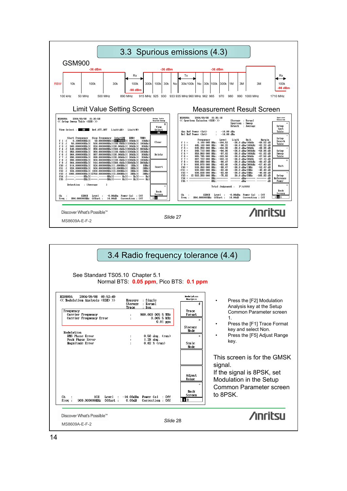

| See Standard TS05.10 Chapter 5.1                                                                                                                                                                                            | 3.4 Radio frequency tolerance (4.4)<br>Normal BTS: 0.05 ppm, Pico BTS: 0.1 ppm                                                                                                                                    |                                                                                                                                   |                                                                                                                                                                                                                                                                               |
|-----------------------------------------------------------------------------------------------------------------------------------------------------------------------------------------------------------------------------|-------------------------------------------------------------------------------------------------------------------------------------------------------------------------------------------------------------------|-----------------------------------------------------------------------------------------------------------------------------------|-------------------------------------------------------------------------------------------------------------------------------------------------------------------------------------------------------------------------------------------------------------------------------|
| <b>MS8609A</b><br>2004/09/08 09:52:49<br><< Modulation Analysis (GSM) >><br>Frequency<br>Carrier Frequency<br>Carrier Frequency Error<br>Modulation<br><b>RMS Phase Error</b><br><b>Peak Phase Error</b><br>Magnitude Error | Measure : Single<br>Storage : Normal<br>: Non<br>Trace<br>900.000 005 5 MHz<br>÷<br>$0.005$ 5 kHz<br>÷<br>$0.01$ ppm<br>$0.50$ deg. $(rms)$<br>÷<br>$1.28$ deg.<br>$\mathbf{r}$<br>$0.62$ % (rms)<br>$\mathbf{r}$ | <b>Hodu Lation</b><br>Analysis<br>₩<br>Trace<br>Format<br>$\ast$<br>Storage<br>Mode<br>$\ast$<br>Scale<br>Mode<br>Adjust<br>Range | Press the [F2] Modulation<br>٠<br>Analysis key at the Setup<br>Common Parameter screen<br>$\mathbf{1}$ .<br>Press the [F1] Trace Format<br>key and select Non.<br>Press the [F5] Adjust Range<br>key.<br>This screen is for the GMSK<br>signal.<br>If the signal is 8PSK, set |
| 1CH Level :<br>Сh<br>900.000000MHz Offset:<br>Free <sub>1</sub>                                                                                                                                                             | $-14.00dBm$ Power Cal : Off<br>Correction : Off<br>0.00dB                                                                                                                                                         | Rack<br>Screen<br>2                                                                                                               | Modulation in the Setup<br>Common Parameter screen<br>to 8PSK.                                                                                                                                                                                                                |
| Discover What's Possible™<br>MS8609A-E-F-2                                                                                                                                                                                  | Slide 28                                                                                                                                                                                                          |                                                                                                                                   | <b>Anritsu</b>                                                                                                                                                                                                                                                                |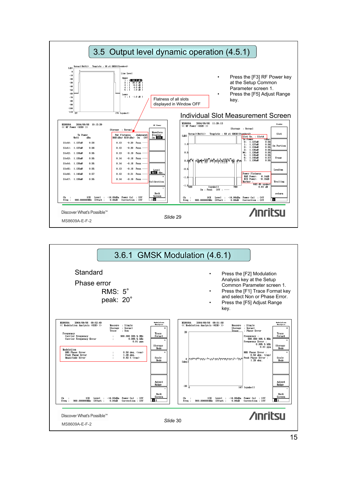

|                                                                                                                                                                                                                                                                                                                                                                                                                                                                                                                                                                   | 3.6.1 GMSK Modulation (4.6.1)                                                                                                                                                                                                                                               |                                                                                                                                                                                                                                                                                                                                                                                                                                                                                                                                                                                                                  |
|-------------------------------------------------------------------------------------------------------------------------------------------------------------------------------------------------------------------------------------------------------------------------------------------------------------------------------------------------------------------------------------------------------------------------------------------------------------------------------------------------------------------------------------------------------------------|-----------------------------------------------------------------------------------------------------------------------------------------------------------------------------------------------------------------------------------------------------------------------------|------------------------------------------------------------------------------------------------------------------------------------------------------------------------------------------------------------------------------------------------------------------------------------------------------------------------------------------------------------------------------------------------------------------------------------------------------------------------------------------------------------------------------------------------------------------------------------------------------------------|
| Standard<br>Phase error<br>$RMS: 5^\circ$<br>peak: 20°                                                                                                                                                                                                                                                                                                                                                                                                                                                                                                            |                                                                                                                                                                                                                                                                             | Press the [F2] Modulation<br>Analysis key at the Setup<br>Common Parameter screen 1.<br>Press the [F1] Trace Format key<br>and select Non or Phase Error.<br>Press the [F5] Adjust Range<br>key.                                                                                                                                                                                                                                                                                                                                                                                                                 |
| <b>MS8609A</b><br>2004/09/08 09:52:49<br><< Modulation Analysis (GSM) >><br>Measure : Single<br>Storage : Normal<br>: Non<br>Trace<br>Frequency<br>900.000 005 5 MHz<br>Carrier Frequency<br>÷<br>$0.005$ $5$ $kHz$<br>Carrier Frequency Error<br>$\ddot{\phantom{a}}$<br>$0.01$ ppn<br>Modulation<br><b>RMS Phase Error</b><br>$0.50$ deg. $(rms)$<br>$1.28$ deg.<br><b>Peak Phase Error</b><br>$\cdot$<br>Magnitude Error<br>$0.62 \times$ (rms)<br>1CH Level : -14.00dBn Power Cal : Off<br>Сh<br>900.000000MHz Offset:<br>0.00dB<br>Correction : Off<br>Freq: | <b>Hodulation</b><br><b>MS8609A</b><br><b>Analysis</b><br>÷<br>20<br>Trace<br>Format<br>$\ast$<br><b>Storage</b><br>Mode<br>×<br>Scale<br>$\bf{0}$<br>Mode:<br>[deg]<br>Adjust<br>Range<br>$-20$ $\frac{1}{0}$<br>Back<br>Screen<br>Сh<br>$\sim$<br>$\blacksquare$<br>Freq: | 2004/09/08 09:51:58<br><b>Hodulation</b><br><b>Analysis</b><br><< Modulation Analysis (GSM) >><br>Measure : Single<br>Storage : Normal<br>÷<br>Trace<br>: Phase Error<br>Trace<br>Frequency :<br>Format<br>900.000 005 5 MHz<br>$\ast$<br>Frequency Error :<br>$0.005$ 5 $kHz$<br>Storage<br>$0.01$ ppm<br>Mode<br><b>RMS Phase Error :</b><br>$0.50$ deg. $(r_{\text{BS}})$<br>Peak Phase Error :<br>Scale<br>$1.28$ deg.<br><b>Mode</b><br>Adjust<br>Range<br>147 [symbol]<br>Back<br>Screen<br>Level : -14.00dBm Power Cal : Off<br>1 CH<br>$\sqrt{2}$<br>900.000000MHz Offset:<br>0.00dB<br>Correction : Off |
| Discover What's Possible™<br>MS8609A-E-F-2                                                                                                                                                                                                                                                                                                                                                                                                                                                                                                                        | Slide 30                                                                                                                                                                                                                                                                    | <b>Anritsu</b>                                                                                                                                                                                                                                                                                                                                                                                                                                                                                                                                                                                                   |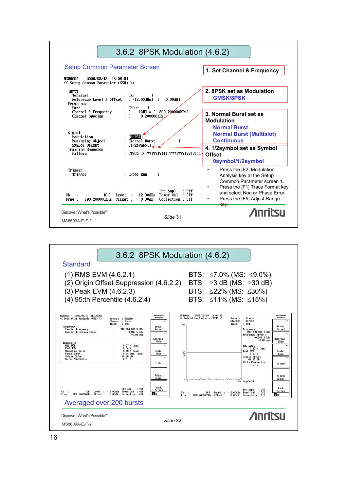

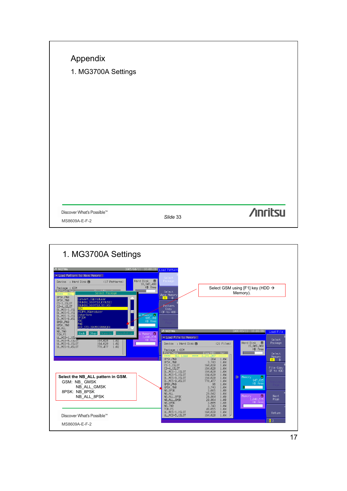| Discover What's Possible™<br>MS8609A-E-F-2 | Slide 33 | <b>/inritsu</b> |
|--------------------------------------------|----------|-----------------|
|                                            |          |                 |
|                                            |          |                 |
|                                            |          |                 |
|                                            |          |                 |
|                                            |          |                 |
|                                            |          |                 |
|                                            |          |                 |
|                                            |          |                 |
| 1. MG3700A Settings                        |          |                 |
| Appendix                                   |          |                 |

 $\mathsf{l}$ 

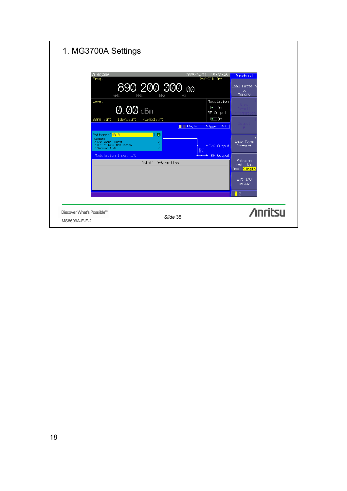| 1. MG3700A Settings                                                                                                                                                                                                                                                  |                                                                                                                                         |                                                                                                                                   |                                                                                                                                  |
|----------------------------------------------------------------------------------------------------------------------------------------------------------------------------------------------------------------------------------------------------------------------|-----------------------------------------------------------------------------------------------------------------------------------------|-----------------------------------------------------------------------------------------------------------------------------------|----------------------------------------------------------------------------------------------------------------------------------|
| <b>↑ MG3700A</b><br>Freq.<br>GHz<br>MHz<br>Level<br>$\overline{\text{O}}$ . $\overline{\text{OQ}}$ dBm<br>BBref: Int<br>IQSrc: Int<br>Pattern: <b>[NB_ALL</b><br>Comment<br>/ GSM Normal Burst<br>/ 8 Slot GMSK Modulation<br>/ Version 1.02<br>Modulation Input I/Q | 2005/04/1<br>890 200 000.00<br>kHz<br>Hz<br>PLSmod: Int<br>Playing<br>$\bullet$<br>n.<br>$[\overline{\text{cm}}]$<br>Detail Information | 15:28:46<br>Ref-Clk Int<br>Modulation<br>$\bullet$ On<br>RF Output<br>$\bullet$ On<br>Trigger : Off<br>$+1/0$ Output<br>RF 0utput | Baseband<br> Load Pattern<br>to<br>Memory<br>Wave Form<br>Restart<br>Pattern<br>Addition<br>Add Single<br>Ext I/O<br>Setup<br>12 |
| Discover What's Possible™<br>MS8609A-E-F-2                                                                                                                                                                                                                           | Slide 35                                                                                                                                |                                                                                                                                   | <b>Anritsu</b>                                                                                                                   |